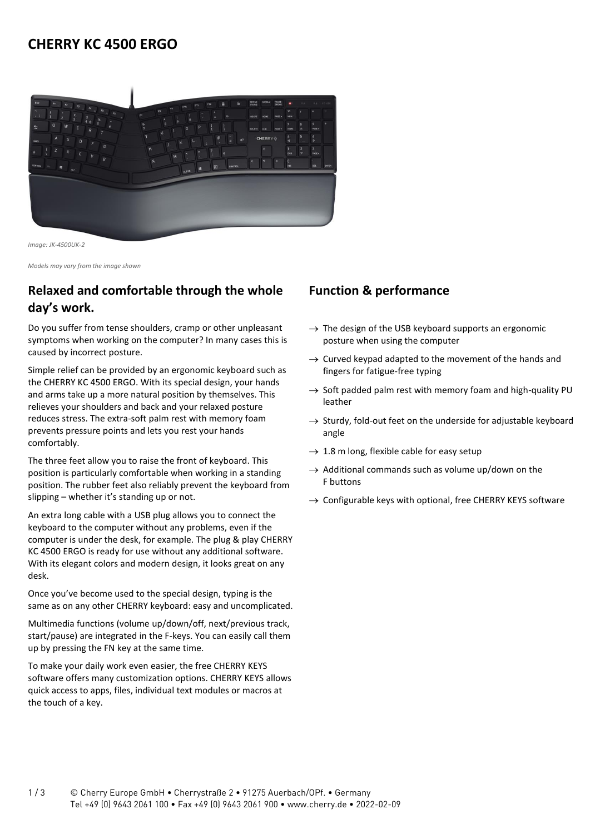## **CHERRY KC 4500 ERGO**



*Image: JK-4500UK-2*

*Models may vary from the image shown*

## **Relaxed and comfortable through the whole day's work.**

Do you suffer from tense shoulders, cramp or other unpleasant symptoms when working on the computer? In many cases this is caused by incorrect posture.

Simple relief can be provided by an ergonomic keyboard such as the CHERRY KC 4500 ERGO. With its special design, your hands and arms take up a more natural position by themselves. This relieves your shoulders and back and your relaxed posture reduces stress. The extra-soft palm rest with memory foam prevents pressure points and lets you rest your hands comfortably.

The three feet allow you to raise the front of keyboard. This position is particularly comfortable when working in a standing position. The rubber feet also reliably prevent the keyboard from slipping – whether it's standing up or not.

An extra long cable with a USB plug allows you to connect the keyboard to the computer without any problems, even if the computer is under the desk, for example. The plug & play CHERRY KC 4500 ERGO is ready for use without any additional software. With its elegant colors and modern design, it looks great on any desk.

Once you've become used to the special design, typing is the same as on any other CHERRY keyboard: easy and uncomplicated.

Multimedia functions (volume up/down/off, next/previous track, start/pause) are integrated in the F-keys. You can easily call them up by pressing the FN key at the same time.

To make your daily work even easier, the free CHERRY KEYS software offers many customization options. CHERRY KEYS allows quick access to apps, files, individual text modules or macros at the touch of a key.

## **Function & performance**

- $\rightarrow$  The design of the USB keyboard supports an ergonomic posture when using the computer
- $\rightarrow$  Curved keypad adapted to the movement of the hands and fingers for fatigue-free typing
- $\rightarrow$  Soft padded palm rest with memory foam and high-quality PU leather
- $\rightarrow$  Sturdy, fold-out feet on the underside for adjustable keyboard angle
- $\rightarrow$  1.8 m long, flexible cable for easy setup
- $\rightarrow$  Additional commands such as volume up/down on the F buttons
- $\rightarrow$  Configurable keys with optional, free CHERRY KEYS software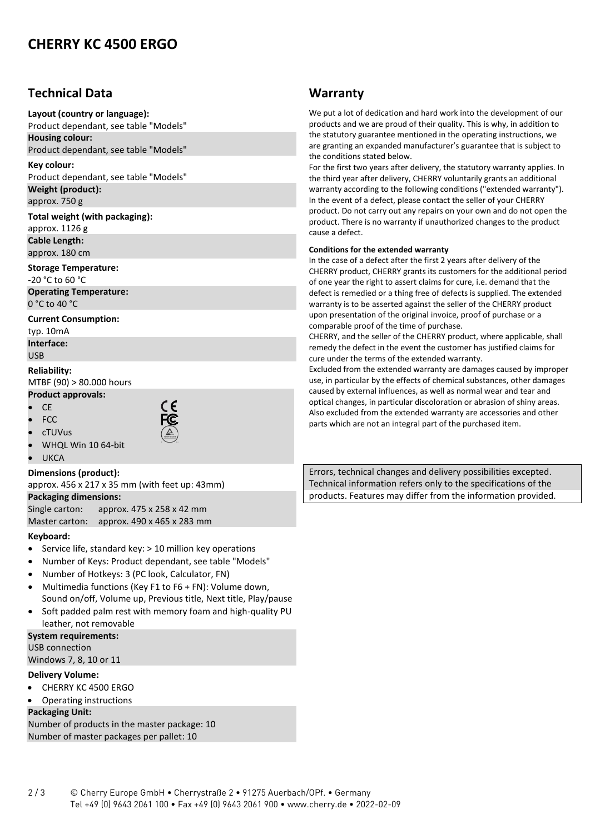# **CHERRY KC 4500 ERGO**

## **Technical Data**

#### **Layout (country or language):**

Product dependant, see table "Models" **Housing colour:**

Product dependant, see table "Models"

**Key colour:** Product dependant, see table "Models" **Weight (product):**

approx. 750 g

#### **Total weight (with packaging):**

approx. 1126 g **Cable Length:** approx. 180 cm

#### **Storage Temperature:**

-20 °C to 60 °C **Operating Temperature:**

0 °C to 40 °C

### **Current Consumption:**

typ. 10mA **Interface:** USB

### **Reliability:** MTBF (90) > 80.000 hours

#### **Product approvals:** • CE



• FCC



- WHQL Win 10 64-bit
- **UKCA**

• cTUVus

### **Dimensions (product):**

approx. 456 x 217 x 35 mm (with feet up: 43mm)

### **Packaging dimensions:**

Single carton: approx. 475 x 258 x 42 mm

Master carton: approx. 490 x 465 x 283 mm

### **Keyboard:**

- Service life, standard key: > 10 million key operations
- Number of Keys: Product dependant, see table "Models"
- Number of Hotkeys: 3 (PC look, Calculator, FN)
- Multimedia functions (Key F1 to F6 + FN): Volume down, Sound on/off, Volume up, Previous title, Next title, Play/pause
- Soft padded palm rest with memory foam and high-quality PU leather, not removable

#### **System requirements:**

USB connection Windows 7, 8, 10 or 11

## **Delivery Volume:**

- CHERRY KC 4500 ERGO
- Operating instructions

### **Packaging Unit:**

Number of products in the master package: 10 Number of master packages per pallet: 10

## **Warranty**

We put a lot of dedication and hard work into the development of our products and we are proud of their quality. This is why, in addition to the statutory guarantee mentioned in the operating instructions, we are granting an expanded manufacturer's guarantee that is subject to the conditions stated below.

For the first two years after delivery, the statutory warranty applies. In the third year after delivery, CHERRY voluntarily grants an additional warranty according to the following conditions ("extended warranty"). In the event of a defect, please contact the seller of your CHERRY product. Do not carry out any repairs on your own and do not open the product. There is no warranty if unauthorized changes to the product cause a defect.

#### **Conditions for the extended warranty**

In the case of a defect after the first 2 years after delivery of the CHERRY product, CHERRY grants its customers for the additional period of one year the right to assert claims for cure, i.e. demand that the defect is remedied or a thing free of defects is supplied. The extended warranty is to be asserted against the seller of the CHERRY product upon presentation of the original invoice, proof of purchase or a comparable proof of the time of purchase.

CHERRY, and the seller of the CHERRY product, where applicable, shall remedy the defect in the event the customer has justified claims for cure under the terms of the extended warranty.

Excluded from the extended warranty are damages caused by improper use, in particular by the effects of chemical substances, other damages caused by external influences, as well as normal wear and tear and optical changes, in particular discoloration or abrasion of shiny areas. Also excluded from the extended warranty are accessories and other parts which are not an integral part of the purchased item.

Errors, technical changes and delivery possibilities excepted. Technical information refers only to the specifications of the products. Features may differ from the information provided.